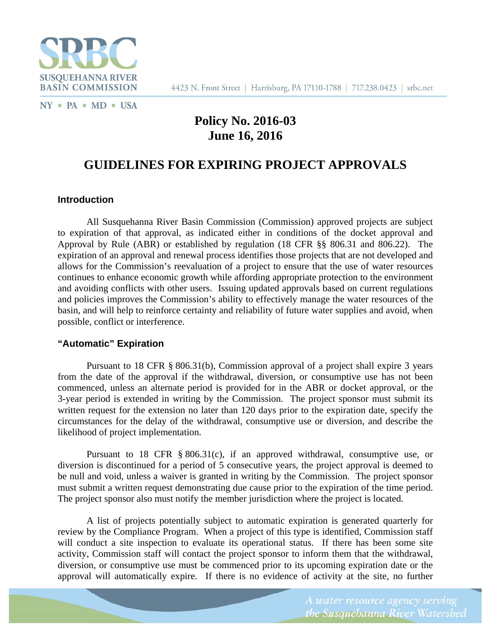

 $NY$  = PA = MD = USA

# **Policy No. 2016-03 June 16, 2016**

# **GUIDELINES FOR EXPIRING PROJECT APPROVALS**

#### **Introduction**

All Susquehanna River Basin Commission (Commission) approved projects are subject to expiration of that approval, as indicated either in conditions of the docket approval and Approval by Rule (ABR) or established by regulation (18 CFR §§ 806.31 and 806.22). The expiration of an approval and renewal process identifies those projects that are not developed and allows for the Commission's reevaluation of a project to ensure that the use of water resources continues to enhance economic growth while affording appropriate protection to the environment and avoiding conflicts with other users. Issuing updated approvals based on current regulations and policies improves the Commission's ability to effectively manage the water resources of the basin, and will help to reinforce certainty and reliability of future water supplies and avoid, when possible, conflict or interference.

#### **"Automatic" Expiration**

 Pursuant to 18 CFR § 806.31(b), Commission approval of a project shall expire 3 years from the date of the approval if the withdrawal, diversion, or consumptive use has not been commenced, unless an alternate period is provided for in the ABR or docket approval, or the 3-year period is extended in writing by the Commission. The project sponsor must submit its written request for the extension no later than 120 days prior to the expiration date, specify the circumstances for the delay of the withdrawal, consumptive use or diversion, and describe the likelihood of project implementation.

Pursuant to 18 CFR § 806.31(c), if an approved withdrawal, consumptive use, or diversion is discontinued for a period of 5 consecutive years, the project approval is deemed to be null and void, unless a waiver is granted in writing by the Commission. The project sponsor must submit a written request demonstrating due cause prior to the expiration of the time period. The project sponsor also must notify the member jurisdiction where the project is located.

 A list of projects potentially subject to automatic expiration is generated quarterly for review by the Compliance Program. When a project of this type is identified, Commission staff will conduct a site inspection to evaluate its operational status. If there has been some site activity, Commission staff will contact the project sponsor to inform them that the withdrawal, diversion, or consumptive use must be commenced prior to its upcoming expiration date or the approval will automatically expire. If there is no evidence of activity at the site, no further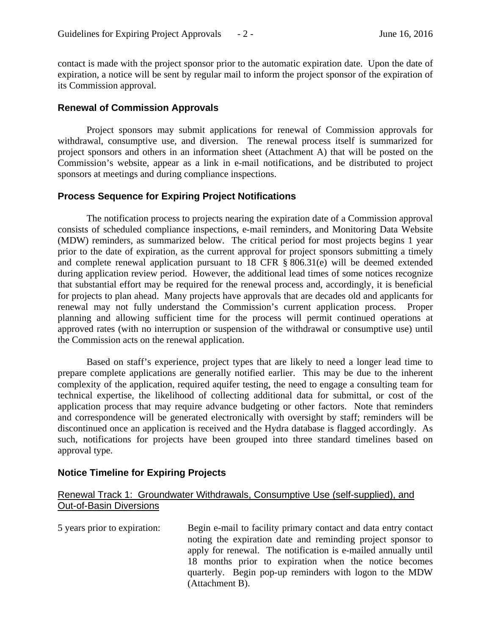contact is made with the project sponsor prior to the automatic expiration date. Upon the date of expiration, a notice will be sent by regular mail to inform the project sponsor of the expiration of its Commission approval.

## **Renewal of Commission Approvals**

 Project sponsors may submit applications for renewal of Commission approvals for withdrawal, consumptive use, and diversion. The renewal process itself is summarized for project sponsors and others in an information sheet (Attachment A) that will be posted on the Commission's website, appear as a link in e-mail notifications, and be distributed to project sponsors at meetings and during compliance inspections.

## **Process Sequence for Expiring Project Notifications**

 The notification process to projects nearing the expiration date of a Commission approval consists of scheduled compliance inspections, e-mail reminders, and Monitoring Data Website (MDW) reminders, as summarized below. The critical period for most projects begins 1 year prior to the date of expiration, as the current approval for project sponsors submitting a timely and complete renewal application pursuant to 18 CFR § 806.31(e) will be deemed extended during application review period. However, the additional lead times of some notices recognize that substantial effort may be required for the renewal process and, accordingly, it is beneficial for projects to plan ahead. Many projects have approvals that are decades old and applicants for renewal may not fully understand the Commission's current application process. Proper planning and allowing sufficient time for the process will permit continued operations at approved rates (with no interruption or suspension of the withdrawal or consumptive use) until the Commission acts on the renewal application.

Based on staff's experience, project types that are likely to need a longer lead time to prepare complete applications are generally notified earlier. This may be due to the inherent complexity of the application, required aquifer testing, the need to engage a consulting team for technical expertise, the likelihood of collecting additional data for submittal, or cost of the application process that may require advance budgeting or other factors. Note that reminders and correspondence will be generated electronically with oversight by staff; reminders will be discontinued once an application is received and the Hydra database is flagged accordingly. As such, notifications for projects have been grouped into three standard timelines based on approval type.

## **Notice Timeline for Expiring Projects**

## Renewal Track 1: Groundwater Withdrawals, Consumptive Use (self-supplied), and Out-of-Basin Diversions

5 years prior to expiration: Begin e-mail to facility primary contact and data entry contact noting the expiration date and reminding project sponsor to apply for renewal. The notification is e-mailed annually until 18 months prior to expiration when the notice becomes quarterly. Begin pop-up reminders with logon to the MDW (Attachment B).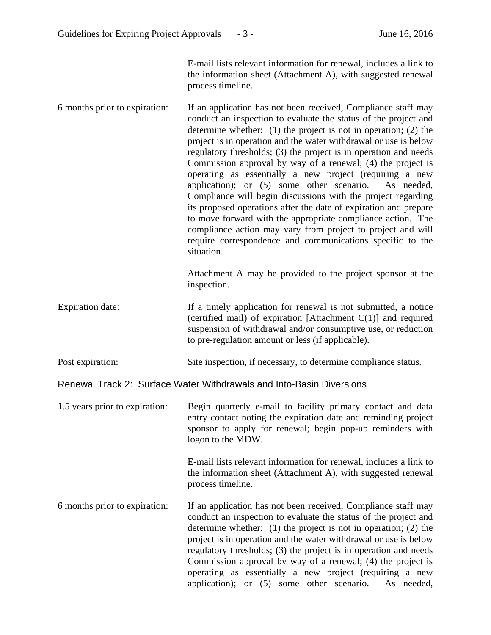E-mail lists relevant information for renewal, includes a link to the information sheet (Attachment A), with suggested renewal process timeline.

6 months prior to expiration: If an application has not been received, Compliance staff may conduct an inspection to evaluate the status of the project and determine whether: (1) the project is not in operation; (2) the project is in operation and the water withdrawal or use is below regulatory thresholds; (3) the project is in operation and needs Commission approval by way of a renewal; (4) the project is operating as essentially a new project (requiring a new application); or (5) some other scenario. As needed, Compliance will begin discussions with the project regarding its proposed operations after the date of expiration and prepare to move forward with the appropriate compliance action. The compliance action may vary from project to project and will require correspondence and communications specific to the situation.

> Attachment A may be provided to the project sponsor at the inspection.

- Expiration date: If a timely application for renewal is not submitted, a notice (certified mail) of expiration [Attachment C(1)] and required suspension of withdrawal and/or consumptive use, or reduction to pre-regulation amount or less (if applicable).
- Post expiration: Site inspection, if necessary, to determine compliance status.

#### Renewal Track 2: Surface Water Withdrawals and Into-Basin Diversions

1.5 years prior to expiration: Begin quarterly e-mail to facility primary contact and data entry contact noting the expiration date and reminding project sponsor to apply for renewal; begin pop-up reminders with logon to the MDW.

> E-mail lists relevant information for renewal, includes a link to the information sheet (Attachment A), with suggested renewal process timeline.

6 months prior to expiration: If an application has not been received, Compliance staff may conduct an inspection to evaluate the status of the project and determine whether: (1) the project is not in operation; (2) the project is in operation and the water withdrawal or use is below regulatory thresholds; (3) the project is in operation and needs Commission approval by way of a renewal; (4) the project is operating as essentially a new project (requiring a new application); or (5) some other scenario. As needed,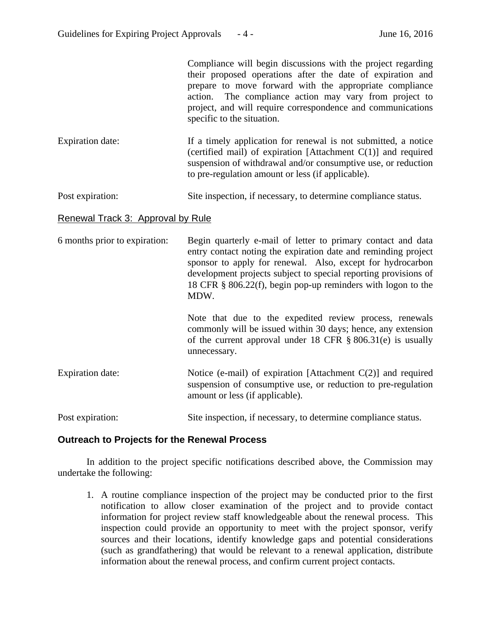Compliance will begin discussions with the project regarding their proposed operations after the date of expiration and prepare to move forward with the appropriate compliance action. The compliance action may vary from project to project, and will require correspondence and communications specific to the situation. Expiration date: If a timely application for renewal is not submitted, a notice (certified mail) of expiration [Attachment C(1)] and required suspension of withdrawal and/or consumptive use, or reduction to pre-regulation amount or less (if applicable).

Post expiration: Site inspection, if necessary, to determine compliance status.

#### Renewal Track 3: Approval by Rule

| 6 months prior to expiration: | Begin quarterly e-mail of letter to primary contact and data    |
|-------------------------------|-----------------------------------------------------------------|
|                               | entry contact noting the expiration date and reminding project  |
|                               | sponsor to apply for renewal. Also, except for hydrocarbon      |
|                               | development projects subject to special reporting provisions of |
|                               | 18 CFR $\S$ 806.22(f), begin pop-up reminders with logon to the |
|                               | MDW.                                                            |
|                               |                                                                 |
|                               | Note that due to the expedited review process, renewals         |

commonly will be issued within 30 days; hence, any extension of the current approval under 18 CFR § 806.31(e) is usually unnecessary.

Expiration date: Notice (e-mail) of expiration [Attachment C(2)] and required suspension of consumptive use, or reduction to pre-regulation amount or less (if applicable).

Post expiration: Site inspection, if necessary, to determine compliance status.

#### **Outreach to Projects for the Renewal Process**

In addition to the project specific notifications described above, the Commission may undertake the following:

1. A routine compliance inspection of the project may be conducted prior to the first notification to allow closer examination of the project and to provide contact information for project review staff knowledgeable about the renewal process. This inspection could provide an opportunity to meet with the project sponsor, verify sources and their locations, identify knowledge gaps and potential considerations (such as grandfathering) that would be relevant to a renewal application, distribute information about the renewal process, and confirm current project contacts.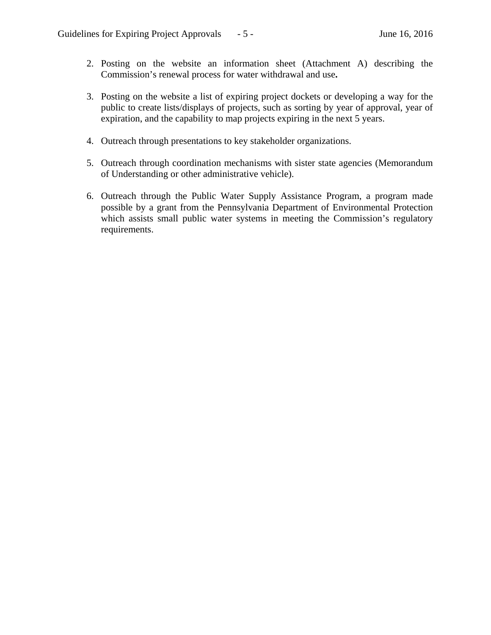- 2. Posting on the website an information sheet (Attachment A) describing the Commission's renewal process for water withdrawal and use**.**
- 3. Posting on the website a list of expiring project dockets or developing a way for the public to create lists/displays of projects, such as sorting by year of approval, year of expiration, and the capability to map projects expiring in the next 5 years.
- 4. Outreach through presentations to key stakeholder organizations.
- 5. Outreach through coordination mechanisms with sister state agencies (Memorandum of Understanding or other administrative vehicle).
- 6. Outreach through the Public Water Supply Assistance Program, a program made possible by a grant from the Pennsylvania Department of Environmental Protection which assists small public water systems in meeting the Commission's regulatory requirements.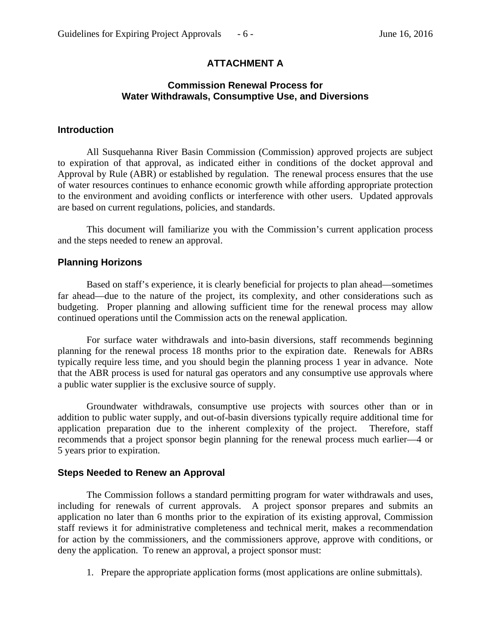# **ATTACHMENT A**

## **Commission Renewal Process for Water Withdrawals, Consumptive Use, and Diversions**

#### **Introduction**

All Susquehanna River Basin Commission (Commission) approved projects are subject to expiration of that approval, as indicated either in conditions of the docket approval and Approval by Rule (ABR) or established by regulation. The renewal process ensures that the use of water resources continues to enhance economic growth while affording appropriate protection to the environment and avoiding conflicts or interference with other users. Updated approvals are based on current regulations, policies, and standards.

This document will familiarize you with the Commission's current application process and the steps needed to renew an approval.

#### **Planning Horizons**

Based on staff's experience, it is clearly beneficial for projects to plan ahead—sometimes far ahead—due to the nature of the project, its complexity, and other considerations such as budgeting. Proper planning and allowing sufficient time for the renewal process may allow continued operations until the Commission acts on the renewal application.

For surface water withdrawals and into-basin diversions, staff recommends beginning planning for the renewal process 18 months prior to the expiration date. Renewals for ABRs typically require less time, and you should begin the planning process 1 year in advance. Note that the ABR process is used for natural gas operators and any consumptive use approvals where a public water supplier is the exclusive source of supply.

Groundwater withdrawals, consumptive use projects with sources other than or in addition to public water supply, and out-of-basin diversions typically require additional time for application preparation due to the inherent complexity of the project. Therefore, staff recommends that a project sponsor begin planning for the renewal process much earlier—4 or 5 years prior to expiration.

#### **Steps Needed to Renew an Approval**

 The Commission follows a standard permitting program for water withdrawals and uses, including for renewals of current approvals. A project sponsor prepares and submits an application no later than 6 months prior to the expiration of its existing approval, Commission staff reviews it for administrative completeness and technical merit, makes a recommendation for action by the commissioners, and the commissioners approve, approve with conditions, or deny the application. To renew an approval, a project sponsor must:

1. Prepare the appropriate application forms (most applications are online submittals).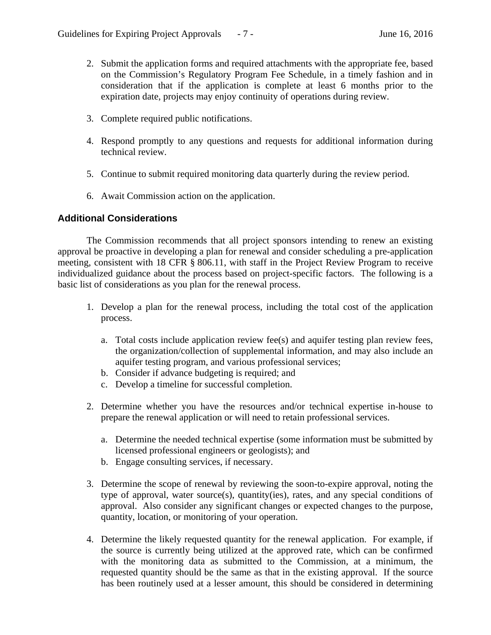- 2. Submit the application forms and required attachments with the appropriate fee, based on the Commission's Regulatory Program Fee Schedule, in a timely fashion and in consideration that if the application is complete at least 6 months prior to the expiration date, projects may enjoy continuity of operations during review.
- 3. Complete required public notifications.
- 4. Respond promptly to any questions and requests for additional information during technical review.
- 5. Continue to submit required monitoring data quarterly during the review period.
- 6. Await Commission action on the application.

## **Additional Considerations**

The Commission recommends that all project sponsors intending to renew an existing approval be proactive in developing a plan for renewal and consider scheduling a pre-application meeting, consistent with 18 CFR § 806.11, with staff in the Project Review Program to receive individualized guidance about the process based on project-specific factors. The following is a basic list of considerations as you plan for the renewal process.

- 1. Develop a plan for the renewal process, including the total cost of the application process.
	- a. Total costs include application review fee(s) and aquifer testing plan review fees, the organization/collection of supplemental information, and may also include an aquifer testing program, and various professional services;
	- b. Consider if advance budgeting is required; and
	- c. Develop a timeline for successful completion.
- 2. Determine whether you have the resources and/or technical expertise in-house to prepare the renewal application or will need to retain professional services.
	- a. Determine the needed technical expertise (some information must be submitted by licensed professional engineers or geologists); and
	- b. Engage consulting services, if necessary.
- 3. Determine the scope of renewal by reviewing the soon-to-expire approval, noting the type of approval, water source(s), quantity(ies), rates, and any special conditions of approval. Also consider any significant changes or expected changes to the purpose, quantity, location, or monitoring of your operation.
- 4. Determine the likely requested quantity for the renewal application. For example, if the source is currently being utilized at the approved rate, which can be confirmed with the monitoring data as submitted to the Commission, at a minimum, the requested quantity should be the same as that in the existing approval. If the source has been routinely used at a lesser amount, this should be considered in determining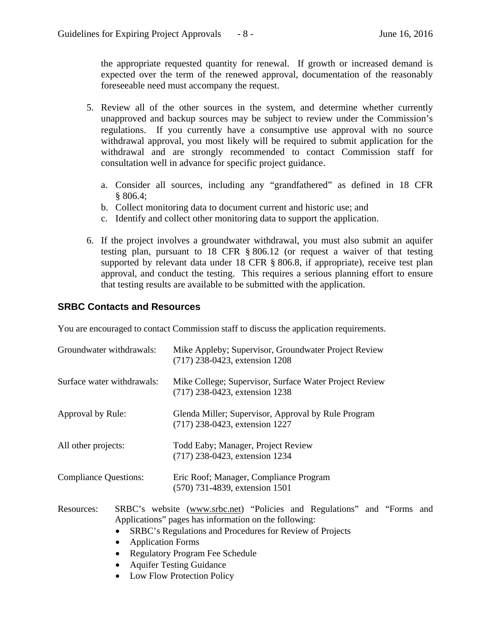the appropriate requested quantity for renewal. If growth or increased demand is expected over the term of the renewed approval, documentation of the reasonably foreseeable need must accompany the request.

- 5. Review all of the other sources in the system, and determine whether currently unapproved and backup sources may be subject to review under the Commission's regulations. If you currently have a consumptive use approval with no source withdrawal approval, you most likely will be required to submit application for the withdrawal and are strongly recommended to contact Commission staff for consultation well in advance for specific project guidance.
	- a. Consider all sources, including any "grandfathered" as defined in 18 CFR § 806.4;
	- b. Collect monitoring data to document current and historic use; and
	- c. Identify and collect other monitoring data to support the application.
- 6. If the project involves a groundwater withdrawal, you must also submit an aquifer testing plan, pursuant to 18 CFR § 806.12 (or request a waiver of that testing supported by relevant data under 18 CFR § 806.8, if appropriate), receive test plan approval, and conduct the testing. This requires a serious planning effort to ensure that testing results are available to be submitted with the application.

## **SRBC Contacts and Resources**

You are encouraged to contact Commission staff to discuss the application requirements.

| Groundwater withdrawals:     |                                                                                              | Mike Appleby; Supervisor, Groundwater Project Review<br>(717) 238-0423, extension 1208                                                                                                                                                                                    |
|------------------------------|----------------------------------------------------------------------------------------------|---------------------------------------------------------------------------------------------------------------------------------------------------------------------------------------------------------------------------------------------------------------------------|
| Surface water withdrawals:   |                                                                                              | Mike College; Supervisor, Surface Water Project Review<br>(717) 238-0423, extension 1238                                                                                                                                                                                  |
| Approval by Rule:            |                                                                                              | Glenda Miller; Supervisor, Approval by Rule Program<br>(717) 238-0423, extension 1227                                                                                                                                                                                     |
| All other projects:          |                                                                                              | Todd Eaby; Manager, Project Review<br>(717) 238-0423, extension 1234                                                                                                                                                                                                      |
| <b>Compliance Questions:</b> |                                                                                              | Eric Roof; Manager, Compliance Program<br>(570) 731-4839, extension 1501                                                                                                                                                                                                  |
| Resources:                   | <b>Application Forms</b><br>$\bullet$<br>$\mathbf{r}$ $\mathbf{m}$ $\mathbf{r}$ $\mathbf{r}$ | SRBC's website (www.srbc.net) "Policies and Regulations" and "Forms and<br>Applications" pages has information on the following:<br>SRBC's Regulations and Procedures for Review of Projects<br><b>Regulatory Program Fee Schedule</b><br><b>Aquifer Testing Guidance</b> |

Low Flow Protection Policy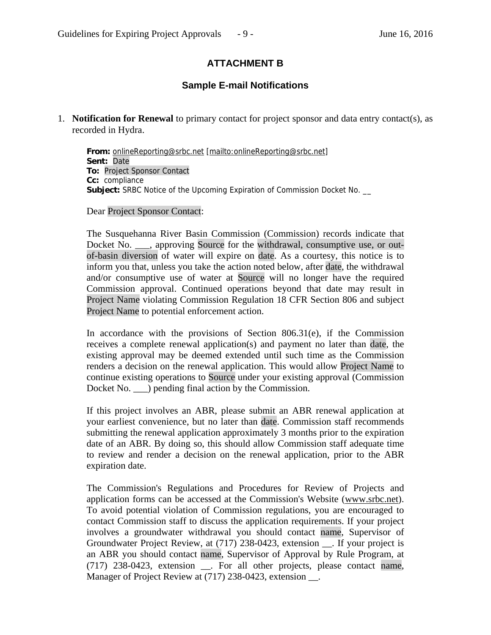# **ATTACHMENT B**

# **Sample E-mail Notifications**

1. **Notification for Renewal** to primary contact for project sponsor and data entry contact(s), as recorded in Hydra.

**From:** onlineReporting@srbc.net [mailto:onlineReporting@srbc.net] **Sent:** Date **To:** Project Sponsor Contact **Cc:** compliance **Subject:** SRBC Notice of the Upcoming Expiration of Commission Docket No. \_\_

Dear Project Sponsor Contact:

The Susquehanna River Basin Commission (Commission) records indicate that Docket No. \_\_\_, approving Source for the withdrawal, consumptive use, or outof-basin diversion of water will expire on date. As a courtesy, this notice is to inform you that, unless you take the action noted below, after date, the withdrawal and/or consumptive use of water at Source will no longer have the required Commission approval. Continued operations beyond that date may result in Project Name violating Commission Regulation 18 CFR Section 806 and subject Project Name to potential enforcement action.

In accordance with the provisions of Section 806.31(e), if the Commission receives a complete renewal application(s) and payment no later than date, the existing approval may be deemed extended until such time as the Commission renders a decision on the renewal application. This would allow Project Name to continue existing operations to Source under your existing approval (Commission Docket No.  $\Box$ ) pending final action by the Commission.

If this project involves an ABR, please submit an ABR renewal application at your earliest convenience, but no later than date. Commission staff recommends submitting the renewal application approximately 3 months prior to the expiration date of an ABR. By doing so, this should allow Commission staff adequate time to review and render a decision on the renewal application, prior to the ABR expiration date.

The Commission's Regulations and Procedures for Review of Projects and application forms can be accessed at the Commission's Website (www.srbc.net). To avoid potential violation of Commission regulations, you are encouraged to contact Commission staff to discuss the application requirements. If your project involves a groundwater withdrawal you should contact name, Supervisor of Groundwater Project Review, at (717) 238-0423, extension \_\_. If your project is an ABR you should contact name, Supervisor of Approval by Rule Program, at (717) 238-0423, extension \_\_. For all other projects, please contact name, Manager of Project Review at (717) 238-0423, extension \_\_\_.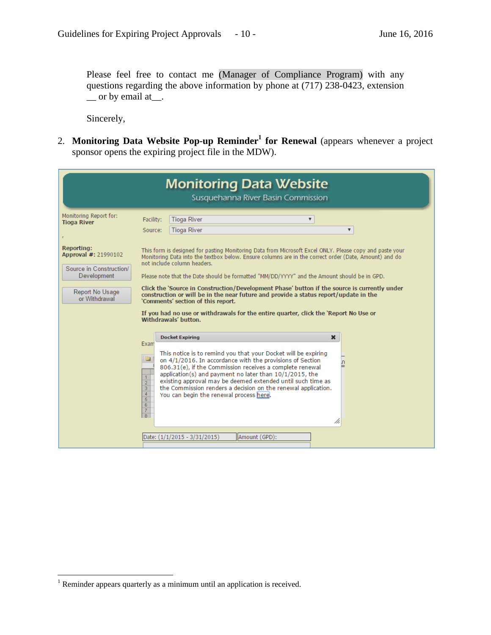Please feel free to contact me (Manager of Compliance Program) with any questions regarding the above information by phone at (717) 238-0423, extension  $\equiv$  or by email at  $\equiv$ .

Sincerely,

2. Monitoring Data Website Pop-up Reminder<sup>1</sup> for Renewal (appears whenever a project sponsor opens the expiring project file in the MDW).

| <b>Monitoring Data Website</b><br>Susquehanna River Basin Commission                                                    |                                                                                                                                       |                                                                                                                                                                                                                                                                                                                                                                                                                                                                                                                                                                                                                                                                                              |  |  |
|-------------------------------------------------------------------------------------------------------------------------|---------------------------------------------------------------------------------------------------------------------------------------|----------------------------------------------------------------------------------------------------------------------------------------------------------------------------------------------------------------------------------------------------------------------------------------------------------------------------------------------------------------------------------------------------------------------------------------------------------------------------------------------------------------------------------------------------------------------------------------------------------------------------------------------------------------------------------------------|--|--|
| Monitoring Report for:<br><b>Tioga River</b>                                                                            | Facility:<br>Source:                                                                                                                  | <b>Tioga River</b><br>$\overline{\mathbf{v}}$<br><b>Tioga River</b><br>▼                                                                                                                                                                                                                                                                                                                                                                                                                                                                                                                                                                                                                     |  |  |
| <b>Reporting:</b><br>Approval #: 21990102<br>Source in Construction/<br>Development<br>Report No Usage<br>or Withdrawal |                                                                                                                                       | This form is designed for pasting Monitoring Data from Microsoft Excel ONLY. Please copy and paste your<br>Monitoring Data into the textbox below. Ensure columns are in the correct order (Date, Amount) and do<br>not include column headers.<br>Please note that the Date should be formatted "MM/DD/YYYY" and the Amount should be in GPD.<br>Click the 'Source in Construction/Development Phase' button if the source is currently under<br>construction or will be in the near future and provide a status report/update in the<br>'Comments' section of this report.<br>If you had no use or withdrawals for the entire quarter, click the 'Report No Use or<br>Withdrawals' button. |  |  |
|                                                                                                                         | Exam<br>to a<br>$\frac{1}{2}$<br>$\frac{4}{5}$<br>$6\overline{6}$<br>$\begin{array}{ c c }\hline 7 \\ \hline 8 \\ \hline \end{array}$ | <b>Docket Expiring</b><br>$\boldsymbol{\mathsf{x}}$<br>This notice is to remind you that your Docket will be expiring<br>on 4/1/2016. In accordance with the provisions of Section<br>ח.<br>806.31(e), if the Commission receives a complete renewal<br>application(s) and payment no later than 10/1/2015, the<br>existing approval may be deemed extended until such time as<br>the Commission renders a decision on the renewal application.<br>You can begin the renewal process here.<br>//,<br>  Amount (GPD);<br>Date: (1/1/2015 - 3/31/2015)                                                                                                                                         |  |  |

 $\overline{a}$ 

<sup>&</sup>lt;sup>1</sup> Reminder appears quarterly as a minimum until an application is received.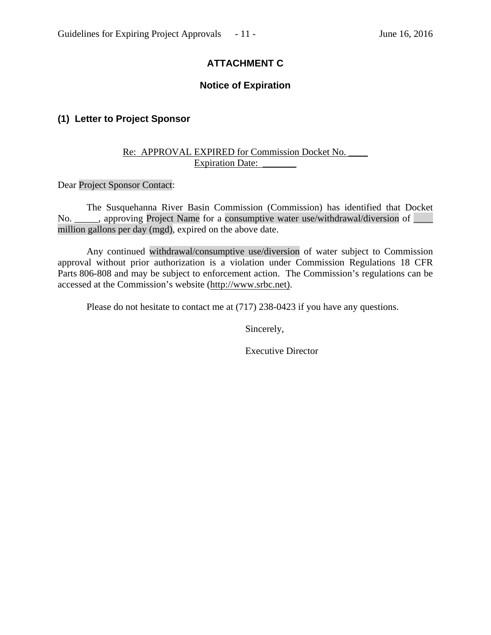# **ATTACHMENT C**

## **Notice of Expiration**

# **(1) Letter to Project Sponsor**

## Re: APPROVAL EXPIRED for Commission Docket No. Expiration Date:

Dear Project Sponsor Contact:

 The Susquehanna River Basin Commission (Commission) has identified that Docket No. \_\_\_\_\_, approving Project Name for a consumptive water use/withdrawal/diversion of \_\_\_\_\_ million gallons per day (mgd), expired on the above date.

Any continued withdrawal/consumptive use/diversion of water subject to Commission approval without prior authorization is a violation under Commission Regulations 18 CFR Parts 806-808 and may be subject to enforcement action. The Commission's regulations can be accessed at the Commission's website (http://www.srbc.net).

Please do not hesitate to contact me at (717) 238-0423 if you have any questions.

Sincerely,

Executive Director